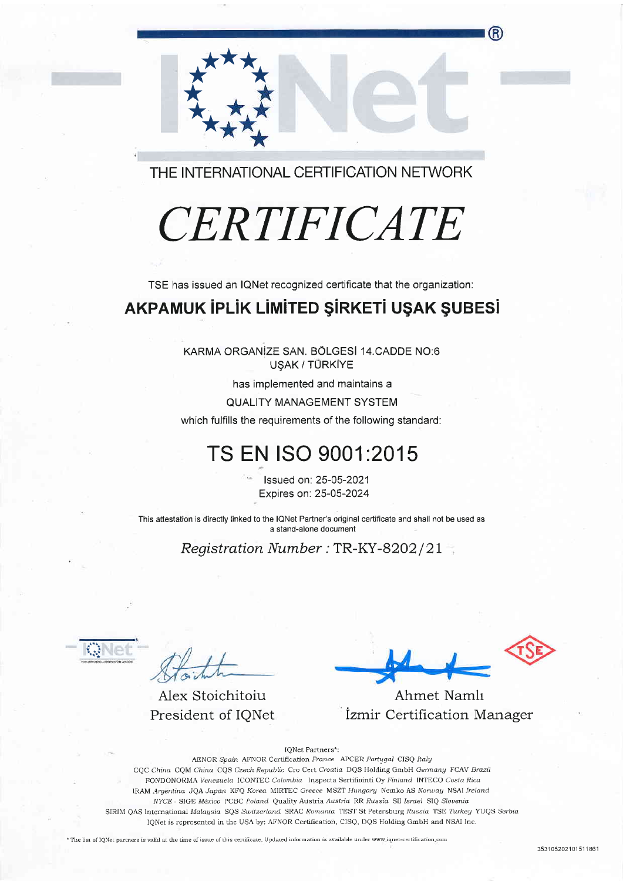THE INTERNATIONAL CERTIFICATION NETWORK

# CERTIFICATE

TSE has issued an IQNet recognized certificate that the organization:

#### AKPAMUK İPLİK LİMİTED ŞİRKETİ UŞAK ŞUBESİ

KARMA ORGANIZE SAN. BÖLGESI 14.CADDE NO:6 USAK / TÜRKİYE

has implemented and maintains a

**QUALITY MANAGEMENT SYSTEM** 

which fulfills the requirements of the following standard:

## TS EN ISO 9001:2015

Issued on: 25-05-2021 Expires on: 25-05-2024

This attestation is directly linked to the IQNet Partner's original certificate and shall not be used as a stand-alone document

Registration Number: TR-KY-8202/21

Alex Stoichitoiu President of IONet

Ahmet Namlı İzmir Certification Manager

IONet Partners\*: AENOR Spain AFNOR Certification France APCER Portugal CISQ Italy CQC China CQM China CQS Czech Republic Cro Cert Croatia DQS Holding GmbH Germany FCAV Brazil FONDONORMA Venezuela ICONTEC Colombia Inspecta Sertifiointi Oy Finland INTECO Costa Rica IRAM Argentina JOA Japan KFO Korea MIRTEC Greece MSZT Hungary Nemko AS Norway NSAI Ireland NYCE - SIGE México PCBC Poland Quality Austria Austria RR Russia SII Israel SIQ Slovenia SIRIM QAS International Malaysia SQS Switzerland SRAC Romania TEST St Petersburg Russia TSE Turkey YUQS Serbia IQNet is represented in the USA by: AFNOR Certification, CISQ, DQS Holding GmbH and NSAI Inc.

\* The list of IQNet partners is valid at the time of issue of this certificate. Updated information is available under www.iqnet-certification.com